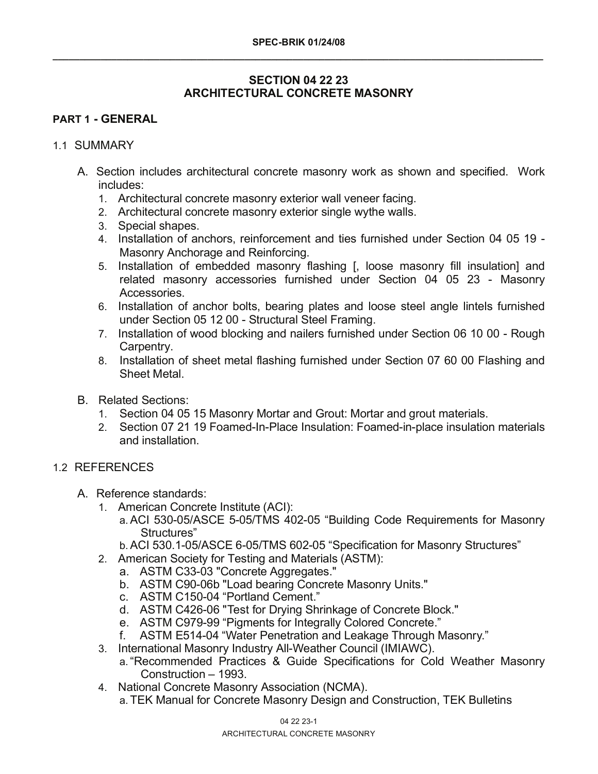# **SECTION 04 22 23 ARCHITECTURAL CONCRETE MASONRY**

# **PART 1 - GENERAL**

#### 1.1 SUMMARY

- A. Section includes architectural concrete masonry work as shown and specified. Work includes:
	- 1. Architectural concrete masonry exterior wall veneer facing.
	- 2. Architectural concrete masonry exterior single wythe walls.
	- 3. Special shapes.
	- 4. Installation of anchors, reinforcement and ties furnished under Section 04 05 19 Masonry Anchorage and Reinforcing.
	- 5. Installation of embedded masonry flashing [, loose masonry fill insulation] and related masonry accessories furnished under Section 04 05 23 - Masonry Accessories.
	- 6. Installation of anchor bolts, bearing plates and loose steel angle lintels furnished under Section 05 12 00 - Structural Steel Framing.
	- 7. Installation of wood blocking and nailers furnished under Section 06 10 00 Rough Carpentry.
	- 8. Installation of sheet metal flashing furnished under Section 07 60 00 Flashing and Sheet Metal.
- B. Related Sections:
	- 1. Section 04 05 15 Masonry Mortar and Grout: Mortar and grout materials.
	- 2. Section 07 21 19 Foamed-In-Place Insulation: Foamed-in-place insulation materials and installation.

## 1.2 REFERENCES

- A. Reference standards:
	- 1. American Concrete Institute (ACI):
		- a. ACI 530-05/ASCE 5-05/TMS 402-05 "Building Code Requirements for Masonry Structures"
		- b. ACI 530.1-05/ASCE 6-05/TMS 602-05 "Specification for Masonry Structures"
	- 2. American Society for Testing and Materials (ASTM):
		- a. ASTM C33-03 "Concrete Aggregates."
		- b. ASTM C90-06b "Load bearing Concrete Masonry Units."
		- c. ASTM C150-04 "Portland Cement."
		- d. ASTM C426-06 "Test for Drying Shrinkage of Concrete Block."
		- e. ASTM C979-99 "Pigments for Integrally Colored Concrete."
		- f. ASTM E514-04 "Water Penetration and Leakage Through Masonry."
	- 3. International Masonry Industry All-Weather Council (IMIAWC).
		- a. "Recommended Practices & Guide Specifications for Cold Weather Masonry Construction – 1993.
	- 4. National Concrete Masonry Association (NCMA). a. TEK Manual for Concrete Masonry Design and Construction, TEK Bulletins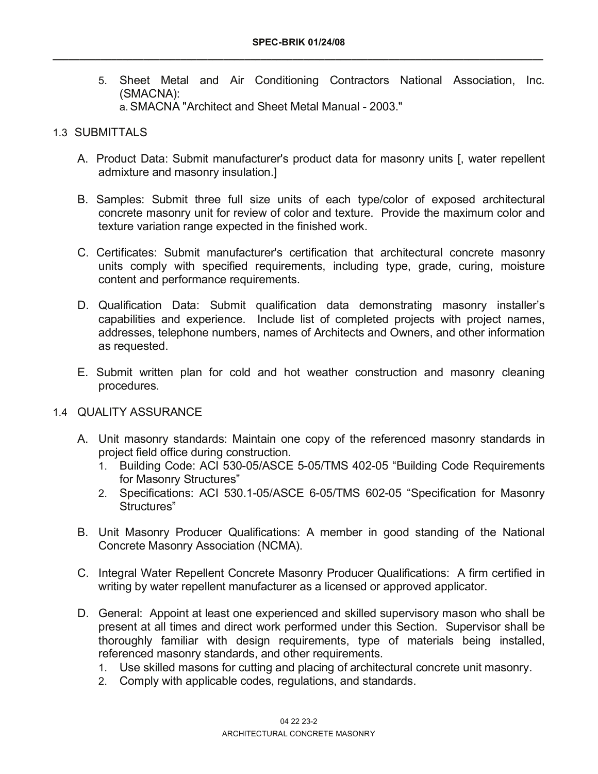5. Sheet Metal and Air Conditioning Contractors National Association, Inc. (SMACNA): a. SMACNA "Architect and Sheet Metal Manual - 2003."

## 1.3 SUBMITTALS

- A. Product Data: Submit manufacturer's product data for masonry units [, water repellent admixture and masonry insulation.]
- B. Samples: Submit three full size units of each type/color of exposed architectural concrete masonry unit for review of color and texture. Provide the maximum color and texture variation range expected in the finished work.
- C. Certificates: Submit manufacturer's certification that architectural concrete masonry units comply with specified requirements, including type, grade, curing, moisture content and performance requirements.
- D. Qualification Data: Submit qualification data demonstrating masonry installer's capabilities and experience. Include list of completed projects with project names, addresses, telephone numbers, names of Architects and Owners, and other information as requested.
- E. Submit written plan for cold and hot weather construction and masonry cleaning procedures.

## 1.4 QUALITY ASSURANCE

- A. Unit masonry standards: Maintain one copy of the referenced masonry standards in project field office during construction.
	- 1. Building Code: ACI 530-05/ASCE 5-05/TMS 402-05 "Building Code Requirements for Masonry Structures"
	- 2. Specifications: ACI 530.1-05/ASCE 6-05/TMS 602-05 "Specification for Masonry Structures"
- B. Unit Masonry Producer Qualifications: A member in good standing of the National Concrete Masonry Association (NCMA).
- C. Integral Water Repellent Concrete Masonry Producer Qualifications: A firm certified in writing by water repellent manufacturer as a licensed or approved applicator.
- D. General: Appoint at least one experienced and skilled supervisory mason who shall be present at all times and direct work performed under this Section. Supervisor shall be thoroughly familiar with design requirements, type of materials being installed, referenced masonry standards, and other requirements.
	- 1. Use skilled masons for cutting and placing of architectural concrete unit masonry.
	- 2. Comply with applicable codes, regulations, and standards.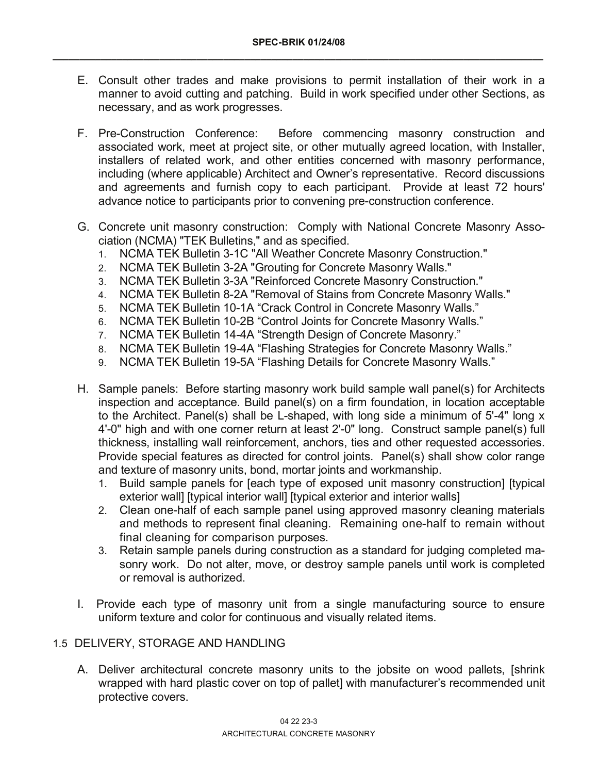- E. Consult other trades and make provisions to permit installation of their work in a manner to avoid cutting and patching. Build in work specified under other Sections, as necessary, and as work progresses.
- F. Pre-Construction Conference: Before commencing masonry construction and associated work, meet at project site, or other mutually agreed location, with Installer, installers of related work, and other entities concerned with masonry performance, including (where applicable) Architect and Owner's representative. Record discussions and agreements and furnish copy to each participant. Provide at least 72 hours' advance notice to participants prior to convening pre-construction conference.
- G. Concrete unit masonry construction: Comply with National Concrete Masonry Association (NCMA) "TEK Bulletins," and as specified.
	- 1. NCMA TEK Bulletin 3-1C "All Weather Concrete Masonry Construction."
	- 2. NCMA TEK Bulletin 3-2A "Grouting for Concrete Masonry Walls."
	- 3. NCMA TEK Bulletin 3-3A "Reinforced Concrete Masonry Construction."
	- 4. NCMA TEK Bulletin 8-2A "Removal of Stains from Concrete Masonry Walls."
	- 5. NCMA TEK Bulletin 10-1A "Crack Control in Concrete Masonry Walls."
	- 6. NCMA TEK Bulletin 10-2B "Control Joints for Concrete Masonry Walls."
	- 7. NCMA TEK Bulletin 14-4A "Strength Design of Concrete Masonry."
	- 8. NCMA TEK Bulletin 19-4A "Flashing Strategies for Concrete Masonry Walls."
	- 9. NCMA TEK Bulletin 19-5A "Flashing Details for Concrete Masonry Walls."
- H. Sample panels: Before starting masonry work build sample wall panel(s) for Architects inspection and acceptance. Build panel(s) on a firm foundation, in location acceptable to the Architect. Panel(s) shall be L-shaped, with long side a minimum of 5'-4" long x 4'-0" high and with one corner return at least 2'-0" long. Construct sample panel(s) full thickness, installing wall reinforcement, anchors, ties and other requested accessories. Provide special features as directed for control joints. Panel(s) shall show color range and texture of masonry units, bond, mortar joints and workmanship.
	- 1. Build sample panels for [each type of exposed unit masonry construction] [typical exterior wall] [typical interior wall] [typical exterior and interior walls]
	- 2. Clean one-half of each sample panel using approved masonry cleaning materials and methods to represent final cleaning. Remaining one-half to remain without final cleaning for comparison purposes.
	- 3. Retain sample panels during construction as a standard for judging completed masonry work. Do not alter, move, or destroy sample panels until work is completed or removal is authorized.
- I. Provide each type of masonry unit from a single manufacturing source to ensure uniform texture and color for continuous and visually related items.

## 1.5 DELIVERY, STORAGE AND HANDLING

A. Deliver architectural concrete masonry units to the jobsite on wood pallets, [shrink wrapped with hard plastic cover on top of pallet] with manufacturer's recommended unit protective covers.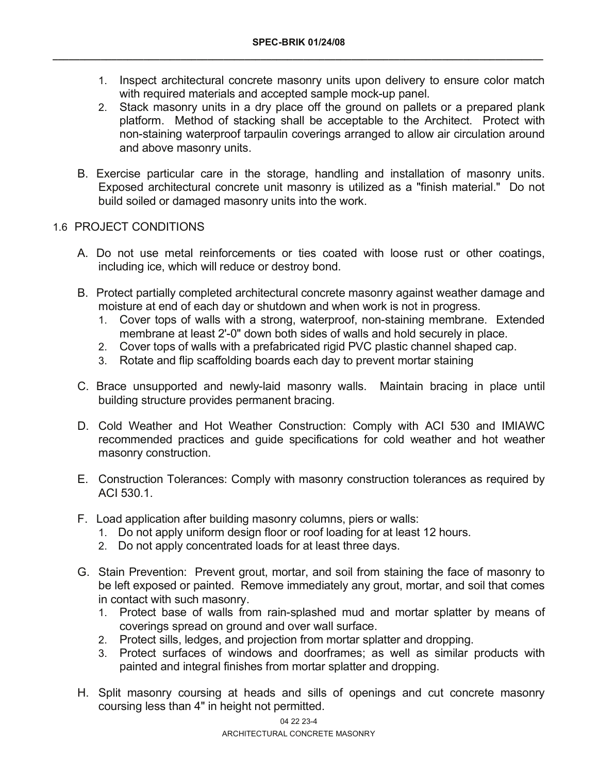- 1. Inspect architectural concrete masonry units upon delivery to ensure color match with required materials and accepted sample mock-up panel.
- 2. Stack masonry units in a dry place off the ground on pallets or a prepared plank platform. Method of stacking shall be acceptable to the Architect. Protect with non-staining waterproof tarpaulin coverings arranged to allow air circulation around and above masonry units.
- B. Exercise particular care in the storage, handling and installation of masonry units. Exposed architectural concrete unit masonry is utilized as a "finish material." Do not build soiled or damaged masonry units into the work.

## 1.6 PROJECT CONDITIONS

- A. Do not use metal reinforcements or ties coated with loose rust or other coatings, including ice, which will reduce or destroy bond.
- B. Protect partially completed architectural concrete masonry against weather damage and moisture at end of each day or shutdown and when work is not in progress.
	- 1. Cover tops of walls with a strong, waterproof, non-staining membrane. Extended membrane at least 2'-0" down both sides of walls and hold securely in place.
	- 2. Cover tops of walls with a prefabricated rigid PVC plastic channel shaped cap.
	- 3. Rotate and flip scaffolding boards each day to prevent mortar staining
- C. Brace unsupported and newly-laid masonry walls. Maintain bracing in place until building structure provides permanent bracing.
- D. Cold Weather and Hot Weather Construction: Comply with ACI 530 and IMIAWC recommended practices and guide specifications for cold weather and hot weather masonry construction.
- E. Construction Tolerances: Comply with masonry construction tolerances as required by ACI 530.1.
- F. Load application after building masonry columns, piers or walls:
	- 1. Do not apply uniform design floor or roof loading for at least 12 hours.
	- 2. Do not apply concentrated loads for at least three days.
- G. Stain Prevention: Prevent grout, mortar, and soil from staining the face of masonry to be left exposed or painted. Remove immediately any grout, mortar, and soil that comes in contact with such masonry.
	- 1. Protect base of walls from rain-splashed mud and mortar splatter by means of coverings spread on ground and over wall surface.
	- 2. Protect sills, ledges, and projection from mortar splatter and dropping.
	- 3. Protect surfaces of windows and doorframes; as well as similar products with painted and integral finishes from mortar splatter and dropping.
- H. Split masonry coursing at heads and sills of openings and cut concrete masonry coursing less than 4" in height not permitted.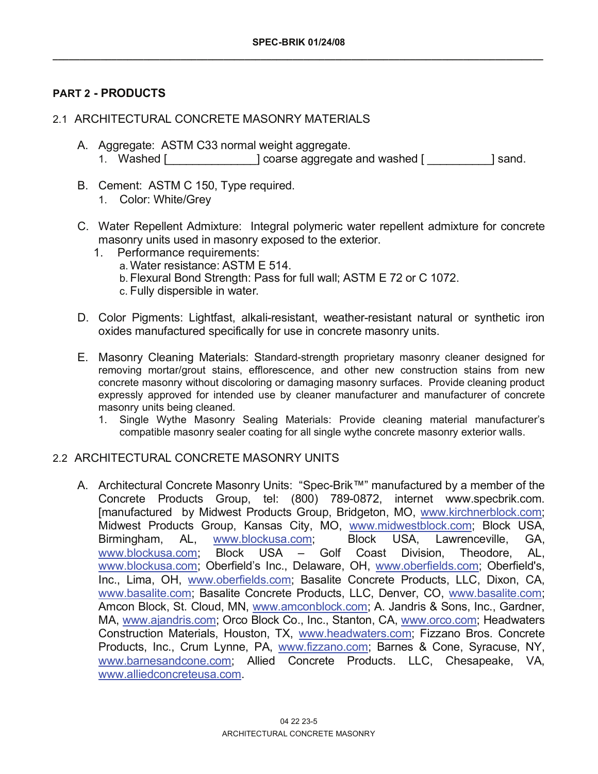## **PART 2 - PRODUCTS**

## 2.1 ARCHITECTURAL CONCRETE MASONRY MATERIALS

- A. Aggregate: ASTM C33 normal weight aggregate. 1. Washed [\_\_\_\_\_\_\_\_\_\_\_\_\_\_] coarse aggregate and washed [ \_\_\_\_\_\_\_\_\_\_] sand.
- B. Cement: ASTM C 150, Type required.
	- 1. Color: White/Grey
- C. Water Repellent Admixture: Integral polymeric water repellent admixture for concrete masonry units used in masonry exposed to the exterior.
	- 1. Performance requirements:
		- a. Water resistance: ASTM E 514.
		- b. Flexural Bond Strength: Pass for full wall; ASTM E 72 or C 1072.
		- c. Fully dispersible in water.
- D. Color Pigments: Lightfast, alkali-resistant, weather-resistant natural or synthetic iron oxides manufactured specifically for use in concrete masonry units.
- E. Masonry Cleaning Materials: Standard-strength proprietary masonry cleaner designed for removing mortar/grout stains, efflorescence, and other new construction stains from new concrete masonry without discoloring or damaging masonry surfaces. Provide cleaning product expressly approved for intended use by cleaner manufacturer and manufacturer of concrete masonry units being cleaned.
	- 1. Single Wythe Masonry Sealing Materials: Provide cleaning material manufacturer's compatible masonry sealer coating for all single wythe concrete masonry exterior walls.

## 2.2 ARCHITECTURAL CONCRETE MASONRY UNITS

A. Architectural Concrete Masonry Units: "Spec-Brik™" manufactured by a member of the Concrete Products Group, tel: (800) 789-0872, internet www.specbrik.com. [manufactured by Midwest Products Group, Bridgeton, MO, www.kirchnerblock.com; Midwest Products Group, Kansas City, MO, www.midwestblock.com; Block USA, Birmingham, AL, www.blockusa.com; Block USA, Lawrenceville, GA, www.blockusa.com; Block USA – Golf Coast Division, Theodore, AL, www.blockusa.com; Oberfield's Inc., Delaware, OH, www.oberfields.com; Oberfield's, Inc., Lima, OH, www.oberfields.com; Basalite Concrete Products, LLC, Dixon, CA, www.basalite.com; Basalite Concrete Products, LLC, Denver, CO, www.basalite.com; Amcon Block, St. Cloud, MN, www.amconblock.com; A. Jandris & Sons, Inc., Gardner, MA, www.ajandris.com; Orco Block Co., Inc., Stanton, CA, www.orco.com; Headwaters Construction Materials, Houston, TX, www.headwaters.com; Fizzano Bros. Concrete Products, Inc., Crum Lynne, PA, www.fizzano.com; Barnes & Cone, Syracuse, NY, www.barnesandcone.com; Allied Concrete Products. LLC, Chesapeake, VA, www.alliedconcreteusa.com.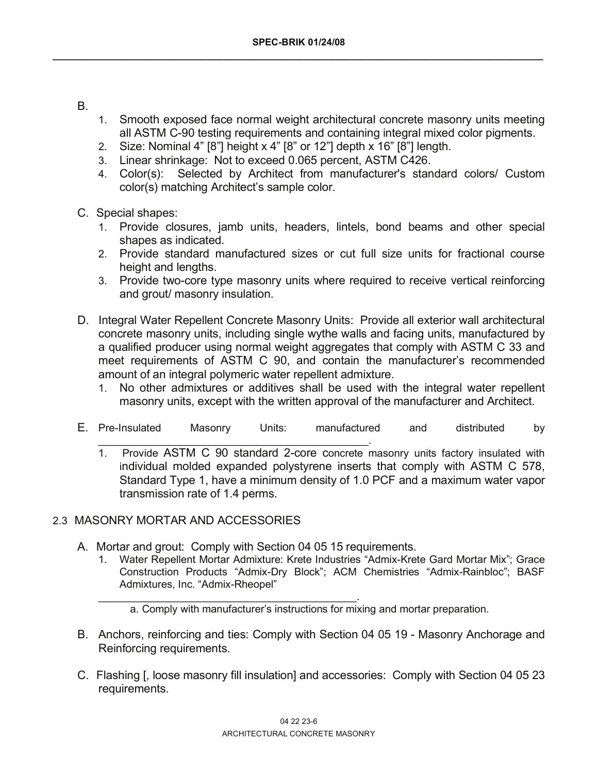- B.
- 1. Smooth exposed face normal weight architectural concrete masonry units meeting all ASTM C-90 testing requirements and containing integral mixed color pigments.
- 2. Size: Nominal 4"  $[8"]$  height x 4"  $[8"$  or 12" $]$  depth x  $[16"$   $[8"]$  length.
- 3. Linear shrinkage: Not to exceed 0.065 percent, ASTM C426.
- 4. Color(s): Selected by Architect from manufacturer's standard colors/ Custom color(s) matching Architect's sample color.
- C. Special shapes:
	- 1. Provide closures, jamb units, headers, lintels, bond beams and other special shapes as indicated.
	- 2. Provide standard manufactured sizes or cut full size units for fractional course height and lengths.
	- 3. Provide two-core type masonry units where required to receive vertical reinforcing and grout/ masonry insulation.
- D. Integral Water Repellent Concrete Masonry Units: Provide all exterior wall architectural concrete masonry units, including single wythe walls and facing units, manufactured by a qualified producer using normal weight aggregates that comply with ASTM C 33 and meet requirements of ASTM C 90, and contain the manufacturer's recommended amount of an integral polymeric water repellent admixture.
	- 1. No other admixtures or additives shall be used with the integral water repellent masonry units, except with the written approval of the manufacturer and Architect.
- E. Pre-Insulated Masonry Units: manufactured and distributed by
	- 1. Provide ASTM C 90 standard 2-core concrete masonry units factory insulated with individual molded expanded polystyrene inserts that comply with ASTM C 578, Standard Type 1, have a minimum density of 1.0 PCF and a maximum water vapor transmission rate of 1.4 perms.

## 2.3 MASONRY MORTAR AND ACCESSORIES

A. Mortar and grout: Comply with Section 04 05 15 requirements.

 $\overline{\phantom{a}}$  , and the contribution of the contribution of  $\overline{\phantom{a}}$  , and  $\overline{\phantom{a}}$ 

- 1. Water Repellent Mortar Admixture: Krete Industries "Admix-Krete Gard Mortar Mix"; Grace Construction Products "Admix-Dry Block"; ACM Chemistries "Admix-Rainbloc"; BASF Admixtures, Inc. "Admix-Rheopel"
- \_\_\_\_\_\_\_\_\_\_\_\_\_\_\_\_\_\_\_\_\_\_\_\_\_\_\_\_\_\_\_\_\_\_\_\_\_\_\_\_\_\_\_\_. a. Comply with manufacturer's instructions for mixing and mortar preparation.
- B. Anchors, reinforcing and ties: Comply with Section 04 05 19 Masonry Anchorage and Reinforcing requirements.
- C. Flashing [, loose masonry fill insulation] and accessories: Comply with Section 04 05 23 requirements.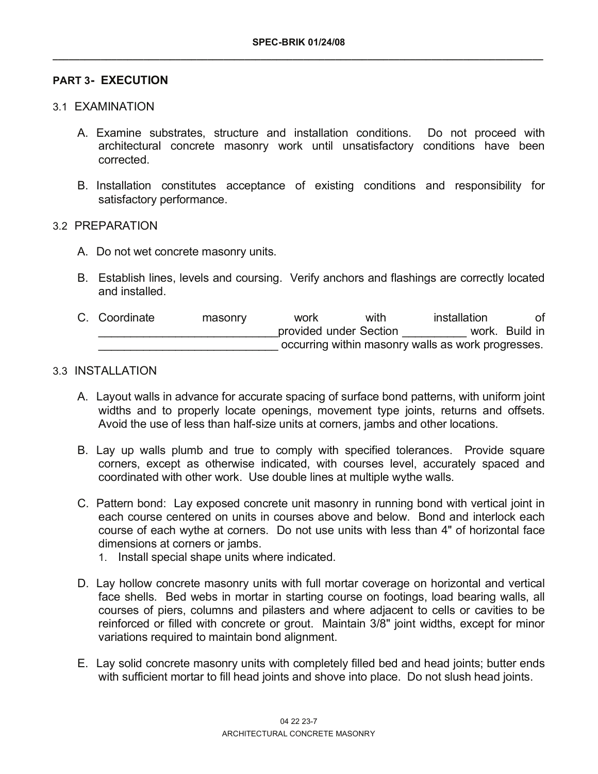## **PART 3- EXECUTION**

#### 3.1 EXAMINATION

- A. Examine substrates, structure and installation conditions. Do not proceed with architectural concrete masonry work until unsatisfactory conditions have been corrected.
- B. Installation constitutes acceptance of existing conditions and responsibility for satisfactory performance.

#### 3.2 PREPARATION

- A. Do not wet concrete masonry units.
- B. Establish lines, levels and coursing. Verify anchors and flashings are correctly located and installed.
- C. Coordinate masonry work with installation of provided under Section and a work. Build in occurring within masonry walls as work progresses.

## 3.3 INSTALLATION

- A. Layout walls in advance for accurate spacing of surface bond patterns, with uniform joint widths and to properly locate openings, movement type joints, returns and offsets. Avoid the use of less than half-size units at corners, jambs and other locations.
- B. Lay up walls plumb and true to comply with specified tolerances. Provide square corners, except as otherwise indicated, with courses level, accurately spaced and coordinated with other work. Use double lines at multiple wythe walls.
- C. Pattern bond: Lay exposed concrete unit masonry in running bond with vertical joint in each course centered on units in courses above and below. Bond and interlock each course of each wythe at corners. Do not use units with less than 4" of horizontal face dimensions at corners or jambs.
	- 1. Install special shape units where indicated.
- D. Lay hollow concrete masonry units with full mortar coverage on horizontal and vertical face shells. Bed webs in mortar in starting course on footings, load bearing walls, all courses of piers, columns and pilasters and where adjacent to cells or cavities to be reinforced or filled with concrete or grout. Maintain 3/8" joint widths, except for minor variations required to maintain bond alignment.
- E. Lay solid concrete masonry units with completely filled bed and head joints; butter ends with sufficient mortar to fill head joints and shove into place. Do not slush head joints.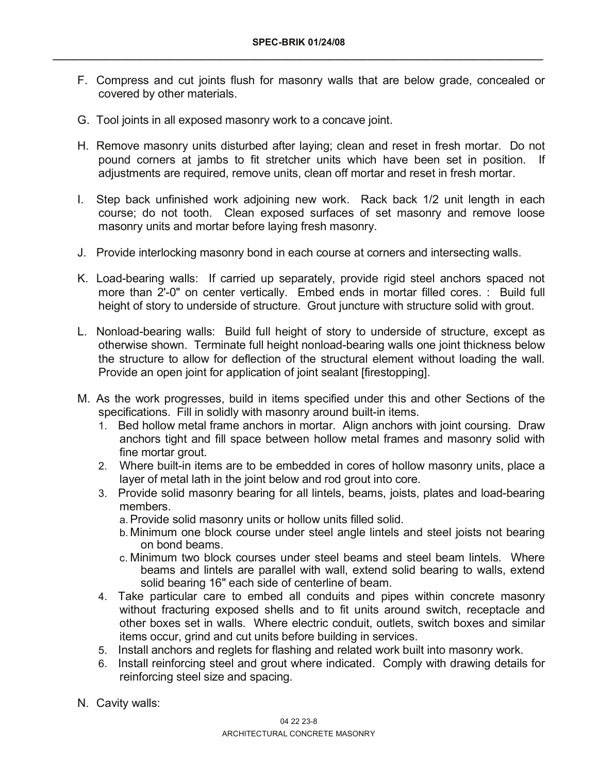- F. Compress and cut joints flush for masonry walls that are below grade, concealed or covered by other materials.
- G. Tool joints in all exposed masonry work to a concave joint.
- H. Remove masonry units disturbed after laying; clean and reset in fresh mortar. Do not pound corners at jambs to fit stretcher units which have been set in position. If adjustments are required, remove units, clean off mortar and reset in fresh mortar.
- I. Step back unfinished work adjoining new work. Rack back 1/2 unit length in each course; do not tooth. Clean exposed surfaces of set masonry and remove loose masonry units and mortar before laying fresh masonry.
- J. Provide interlocking masonry bond in each course at corners and intersecting walls.
- K. Load-bearing walls: If carried up separately, provide rigid steel anchors spaced not more than 2'-0" on center vertically. Embed ends in mortar filled cores. : Build full height of story to underside of structure. Grout juncture with structure solid with grout.
- L. Nonload-bearing walls: Build full height of story to underside of structure, except as otherwise shown. Terminate full height nonload-bearing walls one joint thickness below the structure to allow for deflection of the structural element without loading the wall. Provide an open joint for application of joint sealant [firestopping].
- M. As the work progresses, build in items specified under this and other Sections of the specifications. Fill in solidly with masonry around built-in items.
	- 1. Bed hollow metal frame anchors in mortar. Align anchors with joint coursing. Draw anchors tight and fill space between hollow metal frames and masonry solid with fine mortar grout.
	- 2. Where built-in items are to be embedded in cores of hollow masonry units, place a layer of metal lath in the joint below and rod grout into core.
	- 3. Provide solid masonry bearing for all lintels, beams, joists, plates and load-bearing members.
		- a. Provide solid masonry units or hollow units filled solid.
		- b. Minimum one block course under steel angle lintels and steel joists not bearing on bond beams.
		- c. Minimum two block courses under steel beams and steel beam lintels. Where beams and lintels are parallel with wall, extend solid bearing to walls, extend solid bearing 16" each side of centerline of beam.
	- 4. Take particular care to embed all conduits and pipes within concrete masonry without fracturing exposed shells and to fit units around switch, receptacle and other boxes set in walls. Where electric conduit, outlets, switch boxes and similar items occur, grind and cut units before building in services.
	- 5. Install anchors and reglets for flashing and related work built into masonry work.
	- 6. Install reinforcing steel and grout where indicated. Comply with drawing details for reinforcing steel size and spacing.
- N. Cavity walls: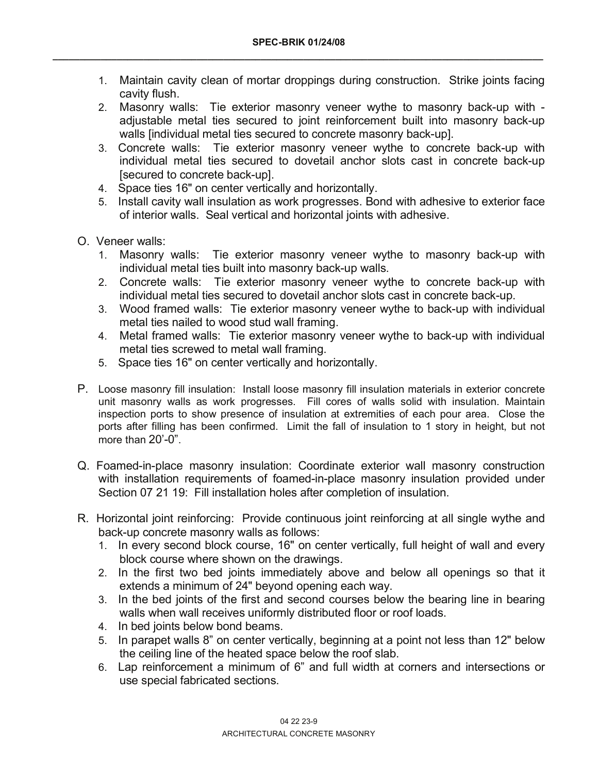- 1. Maintain cavity clean of mortar droppings during construction. Strike joints facing cavity flush.
- 2. Masonry walls: Tie exterior masonry veneer wythe to masonry back-up with adjustable metal ties secured to joint reinforcement built into masonry back-up walls [individual metal ties secured to concrete masonry back-up].
- 3. Concrete walls: Tie exterior masonry veneer wythe to concrete back-up with individual metal ties secured to dovetail anchor slots cast in concrete back-up [secured to concrete back-up].
- 4. Space ties 16" on center vertically and horizontally.
- 5. Install cavity wall insulation as work progresses. Bond with adhesive to exterior face of interior walls. Seal vertical and horizontal joints with adhesive.
- O. Veneer walls:
	- 1. Masonry walls: Tie exterior masonry veneer wythe to masonry back-up with individual metal ties built into masonry back-up walls.
	- 2. Concrete walls: Tie exterior masonry veneer wythe to concrete back-up with individual metal ties secured to dovetail anchor slots cast in concrete back-up.
	- 3. Wood framed walls: Tie exterior masonry veneer wythe to back-up with individual metal ties nailed to wood stud wall framing.
	- 4. Metal framed walls: Tie exterior masonry veneer wythe to back-up with individual metal ties screwed to metal wall framing.
	- 5. Space ties 16" on center vertically and horizontally.
- P. Loose masonry fill insulation: Install loose masonry fill insulation materials in exterior concrete unit masonry walls as work progresses. Fill cores of walls solid with insulation. Maintain inspection ports to show presence of insulation at extremities of each pour area. Close the ports after filling has been confirmed. Limit the fall of insulation to 1 story in height, but not more than 20'-0".
- Q. Foamed-in-place masonry insulation: Coordinate exterior wall masonry construction with installation requirements of foamed-in-place masonry insulation provided under Section 07 21 19: Fill installation holes after completion of insulation.
- R. Horizontal joint reinforcing: Provide continuous joint reinforcing at all single wythe and back-up concrete masonry walls as follows:
	- 1. In every second block course, 16" on center vertically, full height of wall and every block course where shown on the drawings.
	- 2. In the first two bed joints immediately above and below all openings so that it extends a minimum of 24" beyond opening each way.
	- 3. In the bed joints of the first and second courses below the bearing line in bearing walls when wall receives uniformly distributed floor or roof loads.
	- 4. In bed joints below bond beams.
	- 5. In parapet walls 8" on center vertically, beginning at a point not less than 12" below the ceiling line of the heated space below the roof slab.
	- 6. Lap reinforcement a minimum of 6" and full width at corners and intersections or use special fabricated sections.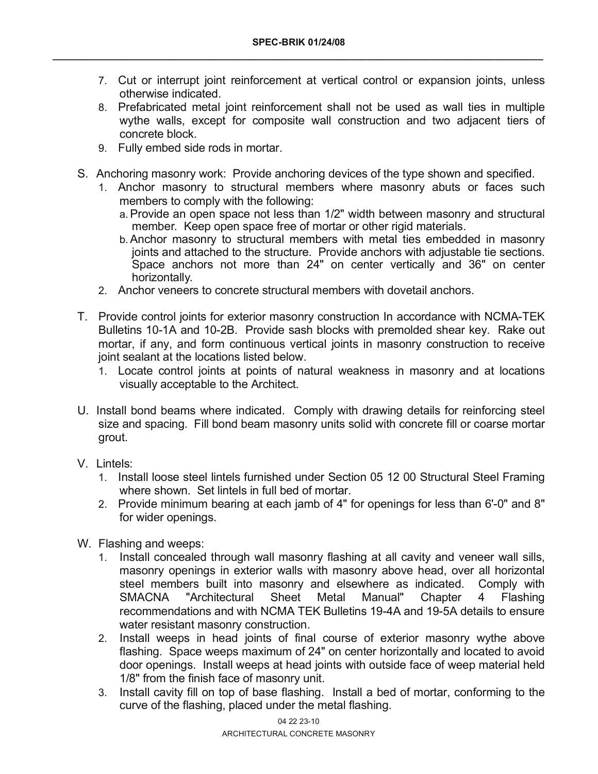- 7. Cut or interrupt joint reinforcement at vertical control or expansion joints, unless otherwise indicated.
- 8. Prefabricated metal joint reinforcement shall not be used as wall ties in multiple wythe walls, except for composite wall construction and two adjacent tiers of concrete block.
- 9. Fully embed side rods in mortar.
- S. Anchoring masonry work: Provide anchoring devices of the type shown and specified.
	- 1. Anchor masonry to structural members where masonry abuts or faces such members to comply with the following:
		- a. Provide an open space not less than 1/2" width between masonry and structural member. Keep open space free of mortar or other rigid materials.
		- b. Anchor masonry to structural members with metal ties embedded in masonry joints and attached to the structure. Provide anchors with adjustable tie sections. Space anchors not more than 24" on center vertically and 36" on center horizontally.
	- 2. Anchor veneers to concrete structural members with dovetail anchors.
- T. Provide control joints for exterior masonry construction In accordance with NCMA-TEK Bulletins 10-1A and 10-2B. Provide sash blocks with premolded shear key. Rake out mortar, if any, and form continuous vertical joints in masonry construction to receive joint sealant at the locations listed below.
	- 1. Locate control joints at points of natural weakness in masonry and at locations visually acceptable to the Architect.
- U. Install bond beams where indicated. Comply with drawing details for reinforcing steel size and spacing. Fill bond beam masonry units solid with concrete fill or coarse mortar grout.
- V. Lintels:
	- 1. Install loose steel lintels furnished under Section 05 12 00 Structural Steel Framing where shown. Set lintels in full bed of mortar.
	- 2. Provide minimum bearing at each jamb of 4" for openings for less than 6'-0" and 8" for wider openings.
- W. Flashing and weeps:
	- 1. Install concealed through wall masonry flashing at all cavity and veneer wall sills, masonry openings in exterior walls with masonry above head, over all horizontal steel members built into masonry and elsewhere as indicated. Comply with SMACNA "Architectural Sheet Metal Manual" Chapter 4 Flashing recommendations and with NCMA TEK Bulletins 19-4A and 19-5A details to ensure water resistant masonry construction.
	- 2. Install weeps in head joints of final course of exterior masonry wythe above flashing. Space weeps maximum of 24" on center horizontally and located to avoid door openings. Install weeps at head joints with outside face of weep material held 1/8" from the finish face of masonry unit.
	- 3. Install cavity fill on top of base flashing. Install a bed of mortar, conforming to the curve of the flashing, placed under the metal flashing.